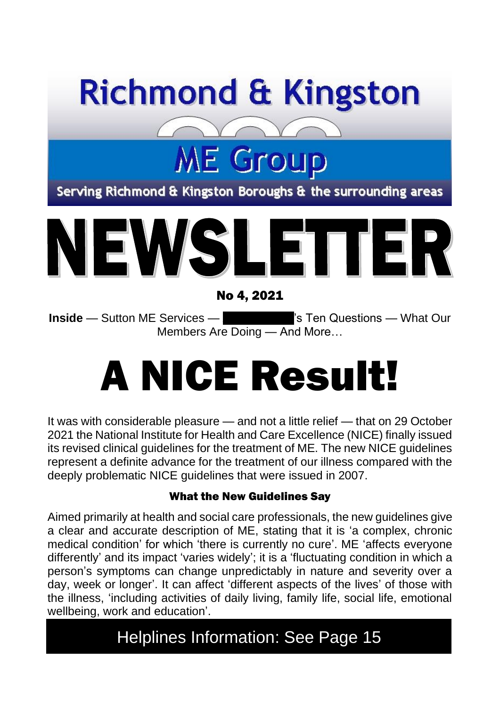

## **ME Group**

Serving Richmond & Kingston Boroughs & the surrounding areas



No 4, 2021

**Inside** — Sutton ME Services — **Amy Johnson Step 1 Step 20 and Amy Johnson What Our** Members Are Doing — And More…

# A NICE Result!

It was with considerable pleasure — and not a little relief — that on 29 October 2021 the National Institute for Health and Care Excellence (NICE) finally issued its revised clinical guidelines for the treatment of ME. The new NICE guidelines represent a definite advance for the treatment of our illness compared with the deeply problematic NICE guidelines that were issued in 2007.

#### What the New Guidelines Say

Aimed primarily at health and social care professionals, the new guidelines give a clear and accurate description of ME, stating that it is 'a complex, chronic medical condition' for which 'there is currently no cure'. ME 'affects everyone differently' and its impact 'varies widely'; it is a 'fluctuating condition in which a person's symptoms can change unpredictably in nature and severity over a day, week or longer'. It can affect 'different aspects of the lives' of those with the illness, 'including activities of daily living, family life, social life, emotional wellbeing, work and education'.

#### Helplines Information: See Page 15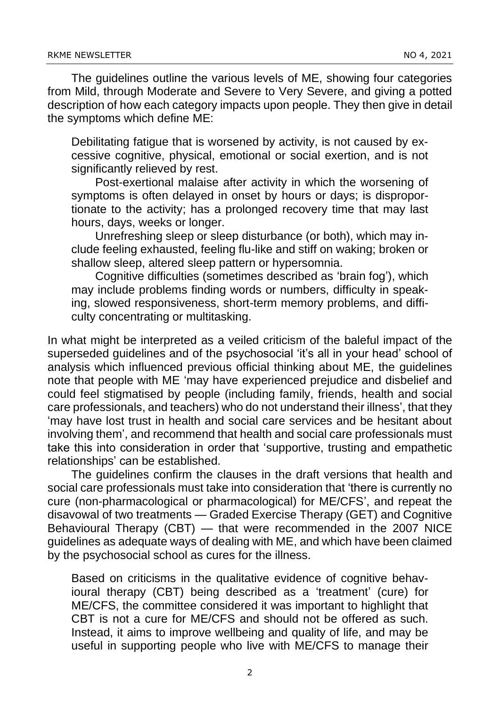The guidelines outline the various levels of ME, showing four categories from Mild, through Moderate and Severe to Very Severe, and giving a potted description of how each category impacts upon people. They then give in detail the symptoms which define ME:

Debilitating fatigue that is worsened by activity, is not caused by excessive cognitive, physical, emotional or social exertion, and is not significantly relieved by rest.

Post-exertional malaise after activity in which the worsening of symptoms is often delayed in onset by hours or days; is disproportionate to the activity; has a prolonged recovery time that may last hours, days, weeks or longer.

Unrefreshing sleep or sleep disturbance (or both), which may include feeling exhausted, feeling flu-like and stiff on waking; broken or shallow sleep, altered sleep pattern or hypersomnia.

Cognitive difficulties (sometimes described as 'brain fog'), which may include problems finding words or numbers, difficulty in speaking, slowed responsiveness, short-term memory problems, and difficulty concentrating or multitasking.

In what might be interpreted as a veiled criticism of the baleful impact of the superseded guidelines and of the psychosocial 'it's all in your head' school of analysis which influenced previous official thinking about ME, the guidelines note that people with ME 'may have experienced prejudice and disbelief and could feel stigmatised by people (including family, friends, health and social care professionals, and teachers) who do not understand their illness', that they 'may have lost trust in health and social care services and be hesitant about involving them', and recommend that health and social care professionals must take this into consideration in order that 'supportive, trusting and empathetic relationships' can be established.

The guidelines confirm the clauses in the draft versions that health and social care professionals must take into consideration that 'there is currently no cure (non-pharmacological or pharmacological) for ME/CFS', and repeat the disavowal of two treatments — Graded Exercise Therapy (GET) and Cognitive Behavioural Therapy (CBT) — that were recommended in the 2007 NICE guidelines as adequate ways of dealing with ME, and which have been claimed by the psychosocial school as cures for the illness.

Based on criticisms in the qualitative evidence of cognitive behavioural therapy (CBT) being described as a 'treatment' (cure) for ME/CFS, the committee considered it was important to highlight that CBT is not a cure for ME/CFS and should not be offered as such. Instead, it aims to improve wellbeing and quality of life, and may be useful in supporting people who live with ME/CFS to manage their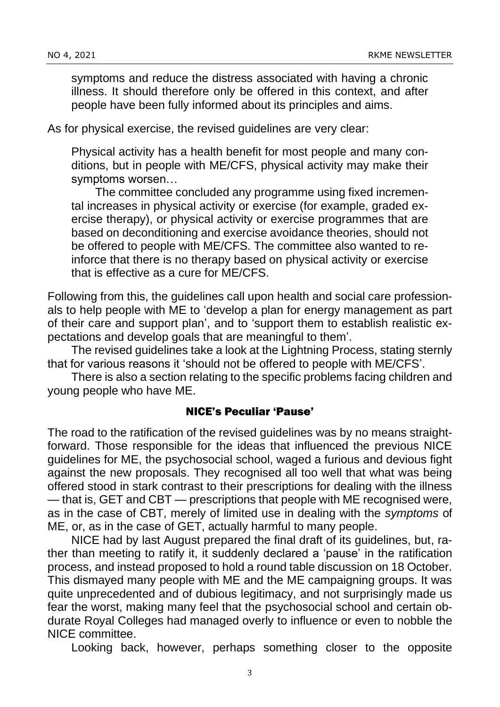symptoms and reduce the distress associated with having a chronic illness. It should therefore only be offered in this context, and after people have been fully informed about its principles and aims.

As for physical exercise, the revised guidelines are very clear:

Physical activity has a health benefit for most people and many conditions, but in people with ME/CFS, physical activity may make their symptoms worsen…

The committee concluded any programme using fixed incremental increases in physical activity or exercise (for example, graded exercise therapy), or physical activity or exercise programmes that are based on deconditioning and exercise avoidance theories, should not be offered to people with ME/CFS. The committee also wanted to reinforce that there is no therapy based on physical activity or exercise that is effective as a cure for ME/CFS.

Following from this, the guidelines call upon health and social care professionals to help people with ME to 'develop a plan for energy management as part of their care and support plan', and to 'support them to establish realistic expectations and develop goals that are meaningful to them'.

The revised guidelines take a look at the Lightning Process, stating sternly that for various reasons it 'should not be offered to people with ME/CFS'.

There is also a section relating to the specific problems facing children and young people who have ME.

#### NICE's Peculiar 'Pause'

The road to the ratification of the revised guidelines was by no means straightforward. Those responsible for the ideas that influenced the previous NICE guidelines for ME, the psychosocial school, waged a furious and devious fight against the new proposals. They recognised all too well that what was being offered stood in stark contrast to their prescriptions for dealing with the illness — that is, GET and CBT — prescriptions that people with ME recognised were, as in the case of CBT, merely of limited use in dealing with the *symptoms* of ME, or, as in the case of GET, actually harmful to many people.

NICE had by last August prepared the final draft of its guidelines, but, rather than meeting to ratify it, it suddenly declared a 'pause' in the ratification process, and instead proposed to hold a round table discussion on 18 October. This dismayed many people with ME and the ME campaigning groups. It was quite unprecedented and of dubious legitimacy, and not surprisingly made us fear the worst, making many feel that the psychosocial school and certain obdurate Royal Colleges had managed overly to influence or even to nobble the NICE committee.

Looking back, however, perhaps something closer to the opposite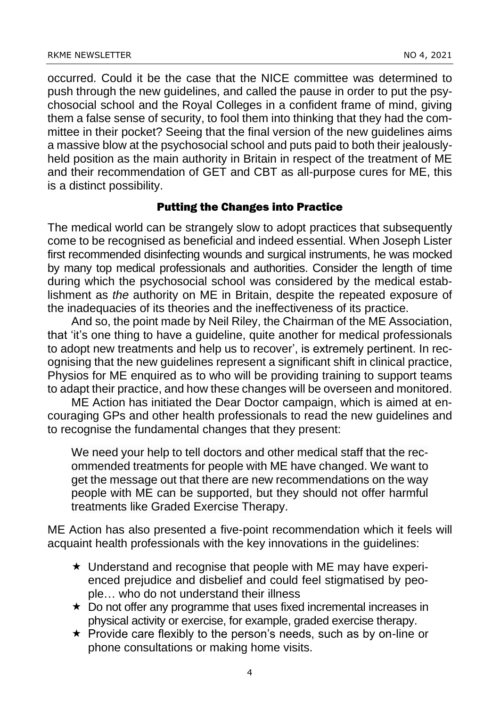occurred. Could it be the case that the NICE committee was determined to push through the new guidelines, and called the pause in order to put the psychosocial school and the Royal Colleges in a confident frame of mind, giving them a false sense of security, to fool them into thinking that they had the committee in their pocket? Seeing that the final version of the new guidelines aims a massive blow at the psychosocial school and puts paid to both their jealouslyheld position as the main authority in Britain in respect of the treatment of ME and their recommendation of GET and CBT as all-purpose cures for ME, this is a distinct possibility.

#### Putting the Changes into Practice

The medical world can be strangely slow to adopt practices that subsequently come to be recognised as beneficial and indeed essential. When Joseph Lister first recommended disinfecting wounds and surgical instruments, he was mocked by many top medical professionals and authorities. Consider the length of time during which the psychosocial school was considered by the medical establishment as *the* authority on ME in Britain, despite the repeated exposure of the inadequacies of its theories and the ineffectiveness of its practice.

And so, the point made by Neil Riley, the Chairman of the ME Association, that 'it's one thing to have a guideline, quite another for medical professionals to adopt new treatments and help us to recover', is extremely pertinent. In recognising that the new guidelines represent a significant shift in clinical practice, Physios for ME enquired as to who will be providing training to support teams to adapt their practice, and how these changes will be overseen and monitored.

ME Action has initiated the Dear Doctor campaign, which is aimed at encouraging GPs and other health professionals to read the new guidelines and to recognise the fundamental changes that they present:

We need your help to tell doctors and other medical staff that the recommended treatments for people with ME have changed. We want to get the message out that there are new recommendations on the way people with ME can be supported, but they should not offer harmful treatments like Graded Exercise Therapy.

ME Action has also presented a five-point recommendation which it feels will acquaint health professionals with the key innovations in the guidelines:

- $\star$  Understand and recognise that people with ME may have experienced prejudice and disbelief and could feel stigmatised by people… who do not understand their illness
- $\star$  Do not offer any programme that uses fixed incremental increases in physical activity or exercise, for example, graded exercise therapy.
- $\star$  Provide care flexibly to the person's needs, such as by on-line or phone consultations or making home visits.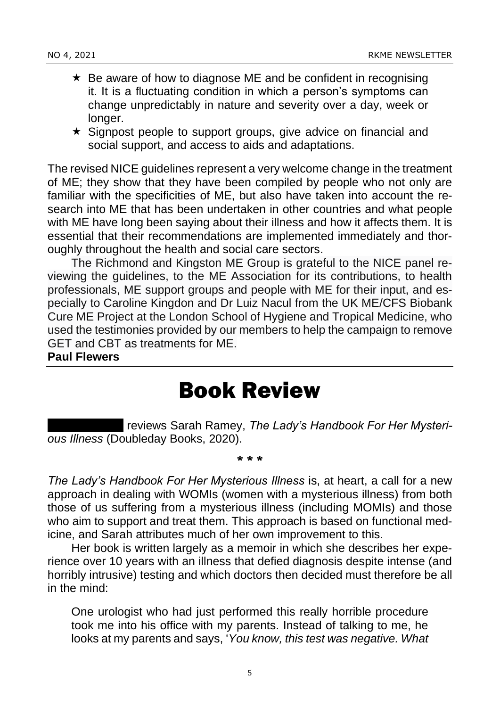- $\star$  Be aware of how to diagnose ME and be confident in recognising it. It is a fluctuating condition in which a person's symptoms can change unpredictably in nature and severity over a day, week or longer.
- $\star$  Signpost people to support groups, give advice on financial and social support, and access to aids and adaptations.

The revised NICE guidelines represent a very welcome change in the treatment of ME; they show that they have been compiled by people who not only are familiar with the specificities of ME, but also have taken into account the research into ME that has been undertaken in other countries and what people with ME have long been saying about their illness and how it affects them. It is essential that their recommendations are implemented immediately and thoroughly throughout the health and social care sectors.

The Richmond and Kingston ME Group is grateful to the NICE panel reviewing the guidelines, to the ME Association for its contributions, to health professionals, ME support groups and people with ME for their input, and especially to Caroline Kingdon and Dr Luiz Nacul from the UK ME/CFS Biobank Cure ME Project at the London School of Hygiene and Tropical Medicine, who used the testimonies provided by our members to help the campaign to remove GET and CBT as treatments for ME.

#### **Paul Flewers**

#### Book Review

**reviews Sarah Ramey, The Lady's Handbook For Her Mysteri***ous Illness* (Doubleday Books, 2020).

#### \* \* \*

*The Lady's Handbook For Her Mysterious Illness* is, at heart, a call for a new approach in dealing with WOMIs (women with a mysterious illness) from both those of us suffering from a mysterious illness (including MOMIs) and those who aim to support and treat them. This approach is based on functional medicine, and Sarah attributes much of her own improvement to this.

Her book is written largely as a memoir in which she describes her experience over 10 years with an illness that defied diagnosis despite intense (and horribly intrusive) testing and which doctors then decided must therefore be all in the mind:

One urologist who had just performed this really horrible procedure took me into his office with my parents. Instead of talking to me, he looks at my parents and says, '*You know, this test was negative. What*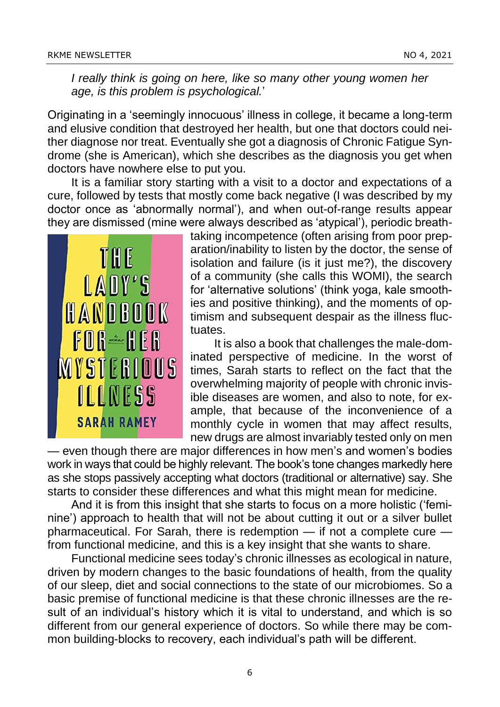*I really think is going on here, like so many other young women her age, is this problem is psychological.*'

Originating in a 'seemingly innocuous' illness in college, it became a long-term and elusive condition that destroyed her health, but one that doctors could neither diagnose nor treat. Eventually she got a diagnosis of Chronic Fatigue Syndrome (she is American), which she describes as the diagnosis you get when doctors have nowhere else to put you.

It is a familiar story starting with a visit to a doctor and expectations of a cure, followed by tests that mostly come back negative (I was described by my doctor once as 'abnormally normal'), and when out-of-range results appear they are dismissed (mine were always described as 'atypical'), periodic breath-



taking incompetence (often arising from poor preparation/inability to listen by the doctor, the sense of isolation and failure (is it just me?), the discovery of a community (she calls this WOMI), the search for 'alternative solutions' (think yoga, kale smoothies and positive thinking), and the moments of optimism and subsequent despair as the illness fluctuates.

It is also a book that challenges the male-dominated perspective of medicine. In the worst of times, Sarah starts to reflect on the fact that the overwhelming majority of people with chronic invisible diseases are women, and also to note, for example, that because of the inconvenience of a monthly cycle in women that may affect results, new drugs are almost invariably tested only on men

— even though there are major differences in how men's and women's bodies work in ways that could be highly relevant. The book's tone changes markedly here as she stops passively accepting what doctors (traditional or alternative) say. She starts to consider these differences and what this might mean for medicine.

And it is from this insight that she starts to focus on a more holistic ('feminine') approach to health that will not be about cutting it out or a silver bullet pharmaceutical. For Sarah, there is redemption — if not a complete cure from functional medicine, and this is a key insight that she wants to share.

Functional medicine sees today's chronic illnesses as ecological in nature, driven by modern changes to the basic foundations of health, from the quality of our sleep, diet and social connections to the state of our microbiomes. So a basic premise of functional medicine is that these chronic illnesses are the result of an individual's history which it is vital to understand, and which is so different from our general experience of doctors. So while there may be common building-blocks to recovery, each individual's path will be different.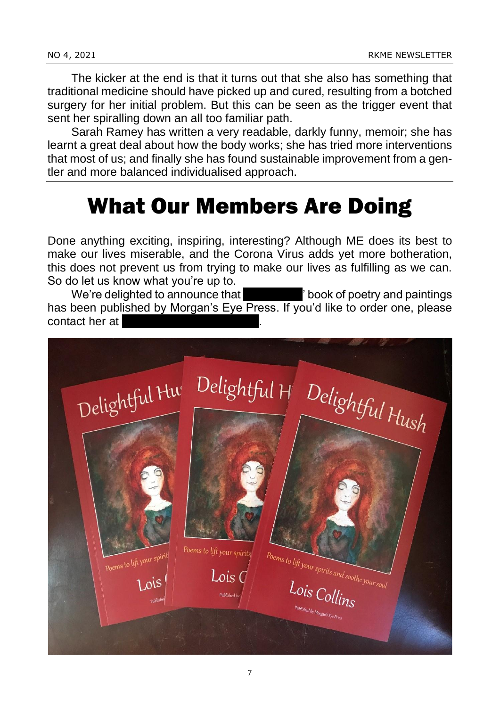The kicker at the end is that it turns out that she also has something that traditional medicine should have picked up and cured, resulting from a botched surgery for her initial problem. But this can be seen as the trigger event that sent her spiralling down an all too familiar path.

Sarah Ramey has written a very readable, darkly funny, memoir; she has learnt a great deal about how the body works; she has tried more interventions that most of us; and finally she has found sustainable improvement from a gentler and more balanced individualised approach.

### What Our Members Are Doing

Done anything exciting, inspiring, interesting? Although ME does its best to make our lives miserable, and the Corona Virus adds yet more botheration, this does not prevent us from trying to make our lives as fulfilling as we can. So do let us know what you're up to.

We're delighted to announce that local book of poetry and paintings has been published by Morgan's Eye Press. If you'd like to order one, please contact her at

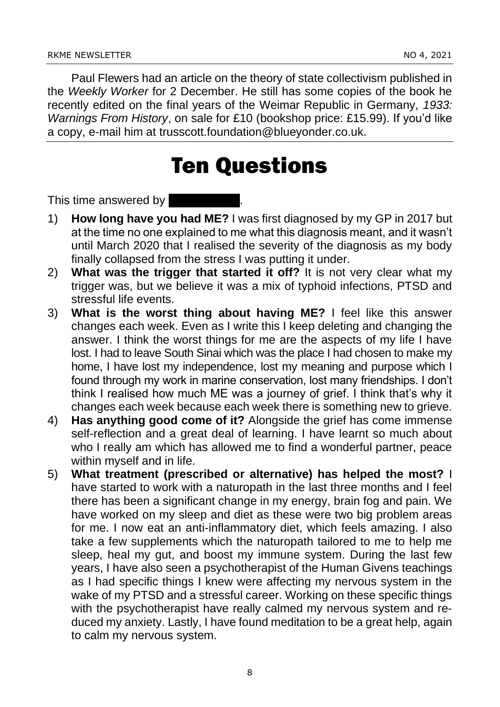Paul Flewers had an article on the theory of state collectivism published in the *Weekly Worker* for 2 December. He still has some copies of the book he recently edited on the final years of the Weimar Republic in Germany, *1933: Warnings From History*, on sale for £10 (bookshop price: £15.99). If you'd like a copy, e-mail him at trusscott.foundation@blueyonder.co.uk.

#### Ten Questions

This time answered by  $\blacksquare$ 

- 1) **How long have you had ME?** I was first diagnosed by my GP in 2017 but at the time no one explained to me what this diagnosis meant, and it wasn't until March 2020 that I realised the severity of the diagnosis as my body finally collapsed from the stress I was putting it under.
- 2) **What was the trigger that started it off?** It is not very clear what my trigger was, but we believe it was a mix of typhoid infections, PTSD and stressful life events.
- 3) **What is the worst thing about having ME?** I feel like this answer changes each week. Even as I write this I keep deleting and changing the answer. I think the worst things for me are the aspects of my life I have lost. I had to leave South Sinai which was the place I had chosen to make my home, I have lost my independence, lost my meaning and purpose which I found through my work in marine conservation, lost many friendships. I don't think I realised how much ME was a journey of grief. I think that's why it changes each week because each week there is something new to grieve.
- 4) **Has anything good come of it?** Alongside the grief has come immense self-reflection and a great deal of learning. I have learnt so much about who I really am which has allowed me to find a wonderful partner, peace within myself and in life.
- 5) **What treatment (prescribed or alternative) has helped the most?** I have started to work with a naturopath in the last three months and I feel there has been a significant change in my energy, brain fog and pain. We have worked on my sleep and diet as these were two big problem areas for me. I now eat an anti-inflammatory diet, which feels amazing. I also take a few supplements which the naturopath tailored to me to help me sleep, heal my gut, and boost my immune system. During the last few years, I have also seen a psychotherapist of the Human Givens teachings as I had specific things I knew were affecting my nervous system in the wake of my PTSD and a stressful career. Working on these specific things with the psychotherapist have really calmed my nervous system and reduced my anxiety. Lastly, I have found meditation to be a great help, again to calm my nervous system.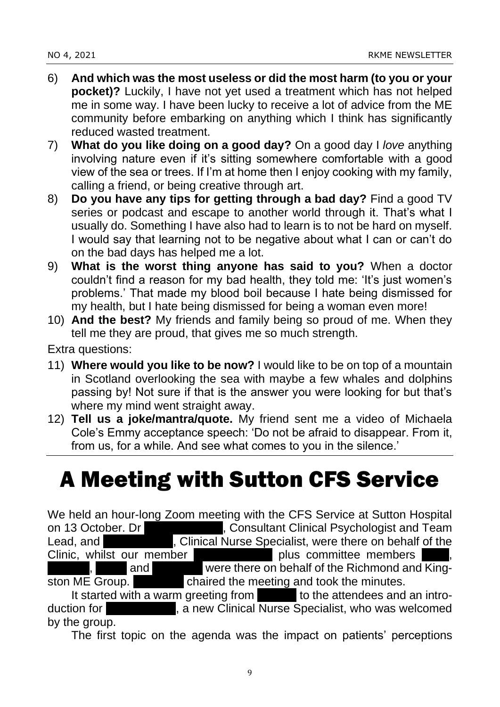- 6) **And which was the most useless or did the most harm (to you or your pocket)?** Luckily, I have not yet used a treatment which has not helped me in some way. I have been lucky to receive a lot of advice from the ME community before embarking on anything which I think has significantly reduced wasted treatment.
- 7) **What do you like doing on a good day?** On a good day I *love* anything involving nature even if it's sitting somewhere comfortable with a good view of the sea or trees. If I'm at home then I enjoy cooking with my family, calling a friend, or being creative through art.
- 8) **Do you have any tips for getting through a bad day?** Find a good TV series or podcast and escape to another world through it. That's what I usually do. Something I have also had to learn is to not be hard on myself. I would say that learning not to be negative about what I can or can't do on the bad days has helped me a lot.
- 9) **What is the worst thing anyone has said to you?** When a doctor couldn't find a reason for my bad health, they told me: 'It's just women's problems.' That made my blood boil because I hate being dismissed for my health, but I hate being dismissed for being a woman even more!
- 10) **And the best?** My friends and family being so proud of me. When they tell me they are proud, that gives me so much strength.

Extra questions:

- 11) **Where would you like to be now?** I would like to be on top of a mountain in Scotland overlooking the sea with maybe a few whales and dolphins passing by! Not sure if that is the answer you were looking for but that's where my mind went straight away.
- 12) **Tell us a joke/mantra/quote.** My friend sent me a video of Michaela Cole's Emmy acceptance speech: 'Do not be afraid to disappear. From it, from us, for a while. And see what comes to you in the silence.'

### A Meeting with Sutton CFS Service

We held an hour-long Zoom meeting with the CFS Service at Sutton Hospital<br>on 13 October. Dr (Consultant Clinical Psychologist and Team , Consultant Clinical Psychologist and Team Lead, and **January Andrew Riordan Aurupy Specialist**, were there on behalf of the Clinic, whilst our member **Shaket and plus committee members** and **Feather were there on behalf of the Richmond and King**ston ME Group. **Ferther and chaired the meeting and took the minutes.**<br>It started with a warm greeting from **Fernando changes** to the attendees and an intro-It started with a warm greeting from

duction for **January Angle Riordan in Angle Riordan II** a new Clinical Nurse Specialist, who was welcomed by the group.

The first topic on the agenda was the impact on patients' perceptions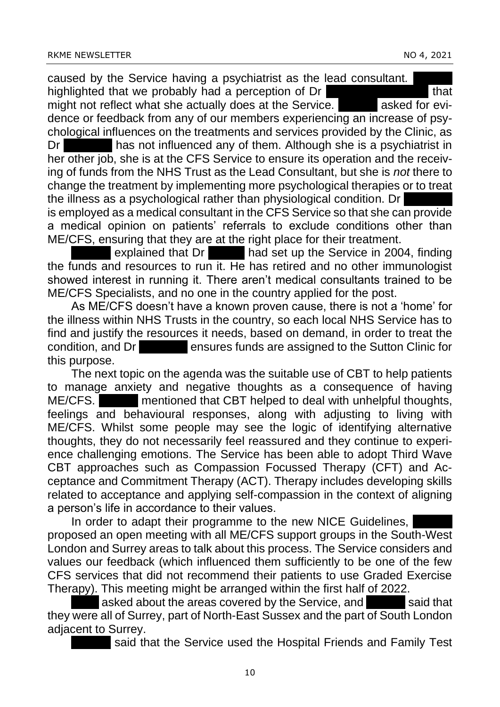caused by the Service having a psychiatrist as the lead consultant. highlighted that we probably had a perception of Dr Standard Land Lands might not reflect what she actually does at the Service. A asked for evidence or feedback from any of our members experiencing an increase of psychological influences on the treatments and services provided by the Clinic, as Dr **Lackshis has not influenced any of them.** Although she is a psychiatrist in her other job, she is at the CFS Service to ensure its operation and the receiving of funds from the NHS Trust as the Lead Consultant, but she is *not* there to change the treatment by implementing more psychological therapies or to treat the illness as a psychological rather than physiological condition. Dr is employed as a medical consultant in the CFS Service so that she can provide a medical opinion on patients' referrals to exclude conditions other than

ME/CFS, ensuring that they are at the right place for their treatment.

explained that Dr **Bank had set up the Service in 2004, finding** the funds and resources to run it. He has retired and no other immunologist showed interest in running it. There aren't medical consultants trained to be ME/CFS Specialists, and no one in the country applied for the post.

As ME/CFS doesn't have a known proven cause, there is not a 'home' for the illness within NHS Trusts in the country, so each local NHS Service has to find and justify the resources it needs, based on demand, in order to treat the condition, and Dr **Lacarova ensures funds are assigned to the Sutton Clinic for** this purpose.

The next topic on the agenda was the suitable use of CBT to help patients to manage anxiety and negative thoughts as a consequence of having ME/CFS. Mentioned that CBT helped to deal with unhelpful thoughts, feelings and behavioural responses, along with adjusting to living with ME/CFS. Whilst some people may see the logic of identifying alternative thoughts, they do not necessarily feel reassured and they continue to experience challenging emotions. The Service has been able to adopt Third Wave CBT approaches such as Compassion Focussed Therapy (CFT) and Acceptance and Commitment Therapy (ACT). Therapy includes developing skills related to acceptance and applying self-compassion in the context of aligning a person's life in accordance to their values.

In order to adapt their programme to the new NICE Guidelines, proposed an open meeting with all ME/CFS support groups in the South-West London and Surrey areas to talk about this process. The Service considers and values our feedback (which influenced them sufficiently to be one of the few CFS services that did not recommend their patients to use Graded Exercise Therapy). This meeting might be arranged within the first half of 2022.

asked about the areas covered by the Service, and Yasmin said that they were all of Surrey, part of North-East Sussex and the part of South London adjacent to Surrey.

said that the Service used the Hospital Friends and Family Test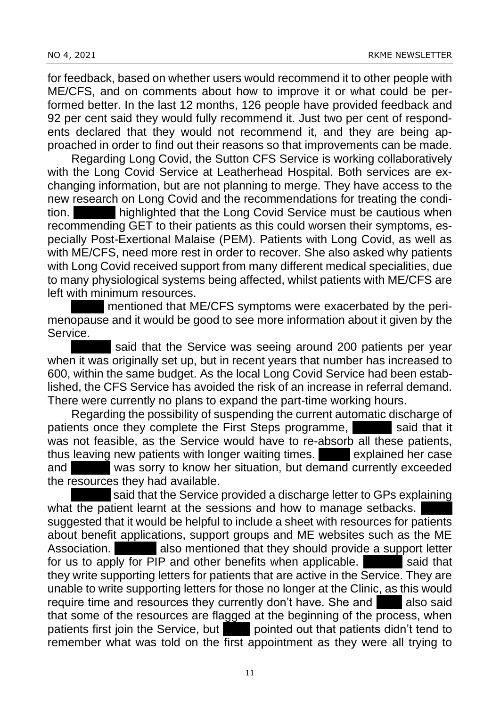for feedback, based on whether users would recommend it to other people with ME/CFS, and on comments about how to improve it or what could be performed better. In the last 12 months, 126 people have provided feedback and 92 per cent said they would fully recommend it. Just two per cent of respondents declared that they would not recommend it, and they are being approached in order to find out their reasons so that improvements can be made.

Regarding Long Covid, the Sutton CFS Service is working collaboratively with the Long Covid Service at Leatherhead Hospital. Both services are exchanging information, but are not planning to merge. They have access to the new research on Long Covid and the recommendations for treating the condition. **Heather highlighted that the Long Covid Service must be cautious when** recommending GET to their patients as this could worsen their symptoms, especially Post-Exertional Malaise (PEM). Patients with Long Covid, as well as with ME/CFS, need more rest in order to recover. She also asked why patients with Long Covid received support from many different medical specialities, due to many physiological systems being affected, whilst patients with ME/CFS are left with minimum resources.

mentioned that ME/CFS symptoms were exacerbated by the perimenopause and it would be good to see more information about it given by the Service.

said that the Service was seeing around 200 patients per year when it was originally set up, but in recent years that number has increased to 600, within the same budget. As the local Long Covid Service had been established, the CFS Service has avoided the risk of an increase in referral demand. There were currently no plans to expand the part-time working hours.

Regarding the possibility of suspending the current automatic discharge of patients once they complete the First Steps programme, said that it was not feasible, as the Service would have to re-absorb all these patients, thus leaving new patients with longer waiting times. In explained her case and vas sorry to know her situation, but demand currently exceeded the resources they had available.

said that the Service provided a discharge letter to GPs explaining what the patient learnt at the sessions and how to manage setbacks. suggested that it would be helpful to include a sheet with resources for patients about benefit applications, support groups and ME websites such as the ME Association. **Heather also mentioned that they should provide a support letter** for us to apply for PIP and other benefits when applicable. Said that they write supporting letters for patients that are active in the Service. They are unable to write supporting letters for those no longer at the Clinic, as this would require time and resources they currently don't have. She and **Also said** that some of the resources are flagged at the beginning of the process, when patients first join the Service, but **Annual pointed out that patients didn't tend to** remember what was told on the first appointment as they were all trying to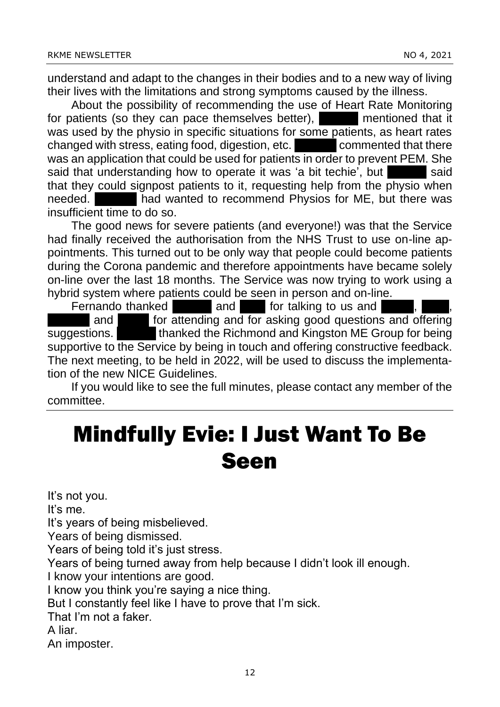understand and adapt to the changes in their bodies and to a new way of living their lives with the limitations and strong symptoms caused by the illness.

About the possibility of recommending the use of Heart Rate Monitoring for patients (so they can pace themselves better), Taskin mentioned that it was used by the physio in specific situations for some patients, as heart rates changed with stress, eating food, digestion, etc. **Example 20 commented that there** was an application that could be used for patients in order to prevent PEM. She said that understanding how to operate it was 'a bit techie', but that they could signpost patients to it, requesting help from the physio when needed. **Heather had wanted to recommend Physios for ME, but there was** insufficient time to do so.

The good news for severe patients (and everyone!) was that the Service had finally received the authorisation from the NHS Trust to use on-line appointments. This turned out to be only way that people could become patients during the Corona pandemic and therefore appointments have became solely on-line over the last 18 months. The Service was now trying to work using a hybrid system where patients could be seen in person and on-line.

Fernando thanked **Yasmin and Jane for talking to us and** and **Fighter and Sepannish and Sepannis** and  $\overline{a}$  for attending and for asking good questions and offering suggestions. The thanked the Richmond and Kingston ME Group for being supportive to the Service by being in touch and offering constructive feedback.

The next meeting, to be held in 2022, will be used to discuss the implementation of the new NICE Guidelines.

If you would like to see the full minutes, please contact any member of the committee.

### Mindfully Evie: I Just Want To Be Seen

It's not you. It's me. It's years of being misbelieved. Years of being dismissed. Years of being told it's just stress. Years of being turned away from help because I didn't look ill enough. I know your intentions are good. I know you think you're saying a nice thing. But I constantly feel like I have to prove that I'm sick. That I'm not a faker. A liar. An imposter.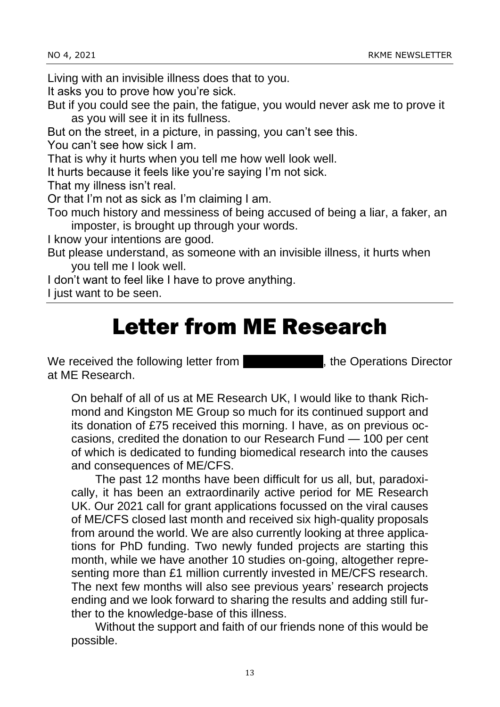Living with an invisible illness does that to you.

It asks you to prove how you're sick.

But if you could see the pain, the fatigue, you would never ask me to prove it as you will see it in its fullness.

But on the street, in a picture, in passing, you can't see this.

You can't see how sick I am.

That is why it hurts when you tell me how well look well.

It hurts because it feels like you're saying I'm not sick.

That my illness isn't real.

Or that I'm not as sick as I'm claiming I am.

Too much history and messiness of being accused of being a liar, a faker, an imposter, is brought up through your words.

I know your intentions are good.

But please understand, as someone with an invisible illness, it hurts when you tell me I look well.

I don't want to feel like I have to prove anything.

I just want to be seen.

#### Letter from ME Research

We received the following letter from Network Changer, the Operations Director at ME Research.

On behalf of all of us at ME Research UK, I would like to thank Richmond and Kingston ME Group so much for its continued support and its donation of £75 received this morning. I have, as on previous occasions, credited the donation to our Research Fund — 100 per cent of which is dedicated to funding biomedical research into the causes and consequences of ME/CFS.

The past 12 months have been difficult for us all, but, paradoxically, it has been an extraordinarily active period for ME Research UK. Our 2021 call for grant applications focussed on the viral causes of ME/CFS closed last month and received six high-quality proposals from around the world. We are also currently looking at three applications for PhD funding. Two newly funded projects are starting this month, while we have another 10 studies on-going, altogether representing more than £1 million currently invested in ME/CFS research. The next few months will also see previous years' research projects ending and we look forward to sharing the results and adding still further to the knowledge-base of this illness.

Without the support and faith of our friends none of this would be possible.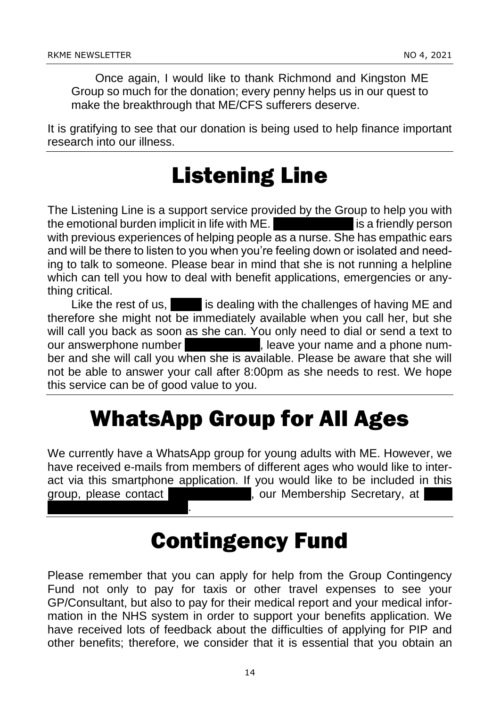mumford14@hotmail.co.uk.

Once again, I would like to thank Richmond and Kingston ME Group so much for the donation; every penny helps us in our quest to make the breakthrough that ME/CFS sufferers deserve.

It is gratifying to see that our donation is being used to help finance important research into our illness.

### Listening Line

The Listening Line is a support service provided by the Group to help you with the emotional burden implicit in life with ME. **Show Mumphord is a friendly person** with previous experiences of helping people as a nurse. She has empathic ears and will be there to listen to you when you're feeling down or isolated and needing to talk to someone. Please bear in mind that she is not running a helpline which can tell you how to deal with benefit applications, emergencies or anything critical.

Like the rest of us,  $\blacksquare$  is dealing with the challenges of having ME and therefore she might not be immediately available when you call her, but she will call you back as soon as she can. You only need to dial or send a text to our answerphone number **1998**, leave your name and a phone number and she will call you when she is available. Please be aware that she will not be able to answer your call after 8:00pm as she needs to rest. We hope this service can be of good value to you.

### WhatsApp Group for All Ages

We currently have a WhatsApp group for young adults with ME. However, we have received e-mails from members of different ages who would like to interact via this smartphone application. If you would like to be included in this group, please contact Jenny Mummership Secretary, at jenny Mummership Secretary, at jenny at jenny mummership Secretary, at jenny mummership Secretary, at jenny mummership Secretary, at jenny mummership Secretary, at jenny

#### Contingency Fund

Please remember that you can apply for help from the Group Contingency Fund not only to pay for taxis or other travel expenses to see your GP/Consultant, but also to pay for their medical report and your medical information in the NHS system in order to support your benefits application. We have received lots of feedback about the difficulties of applying for PIP and other benefits; therefore, we consider that it is essential that you obtain an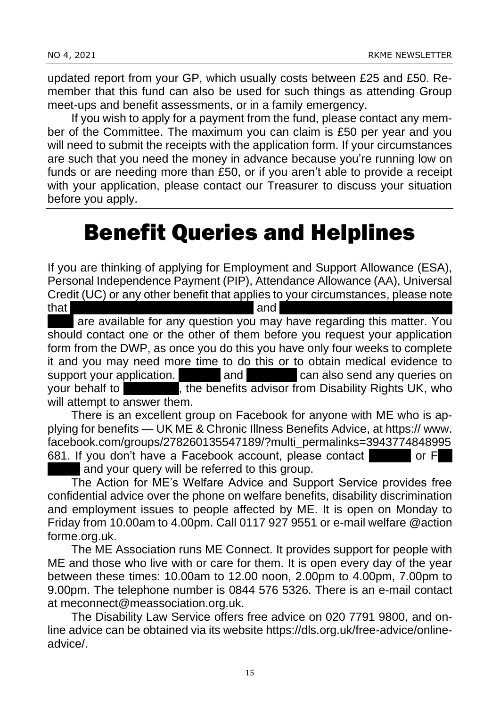updated report from your GP, which usually costs between £25 and £50. Remember that this fund can also be used for such things as attending Group meet-ups and benefit assessments, or in a family emergency.

If you wish to apply for a payment from the fund, please contact any member of the Committee. The maximum you can claim is £50 per year and you will need to submit the receipts with the application form. If your circumstances are such that you need the money in advance because you're running low on funds or are needing more than £50, or if you aren't able to provide a receipt with your application, please contact our Treasurer to discuss your situation before you apply.

### Benefit Queries and Helplines

If you are thinking of applying for Employment and Support Allowance (ESA), Personal Independence Payment (PIP), Attendance Allowance (AA), Universal Credit (UC) or any other benefit that applies to your circumstances, please note  $\mathsf{that}$  and  $\mathsf{and}$ 

are available for any question you may have regarding this matter. You should contact one or the other of them before you request your application form from the DWP, as once you do this you have only four weeks to complete it and you may need more time to do this or to obtain medical evidence to support your application. Heather and Fernando can also send any queries on your behalf to Ken Butler, the benefits advisor from Disability Rights UK, who will attempt to answer them.

There is an excellent group on Facebook for anyone with ME who is applying for benefits — UK ME & Chronic Illness Benefits Advice, at https:// www. facebook.com/groups/278260135547189/?multi\_permalinks=3943774848995 681. If you don't have a Facebook account, please contact or Ferric or Ferric

and your query will be referred to this group.

The Action for ME's Welfare Advice and Support Service provides free confidential advice over the phone on welfare benefits, disability discrimination and employment issues to people affected by ME. It is open on Monday to Friday from 10.00am to 4.00pm. Call 0117 927 9551 or e-mail welfare @action forme.org.uk.

The ME Association runs ME Connect. It provides support for people with ME and those who live with or care for them. It is open every day of the year between these times: 10.00am to 12.00 noon, 2.00pm to 4.00pm, 7.00pm to 9.00pm. The telephone number is 0844 576 5326. There is an e-mail contact at meconnect@meassociation.org.uk.

The Disability Law Service offers free advice on 020 7791 9800, and online advice can be obtained via its website https://dls.org.uk/free-advice/onlineadvice/.